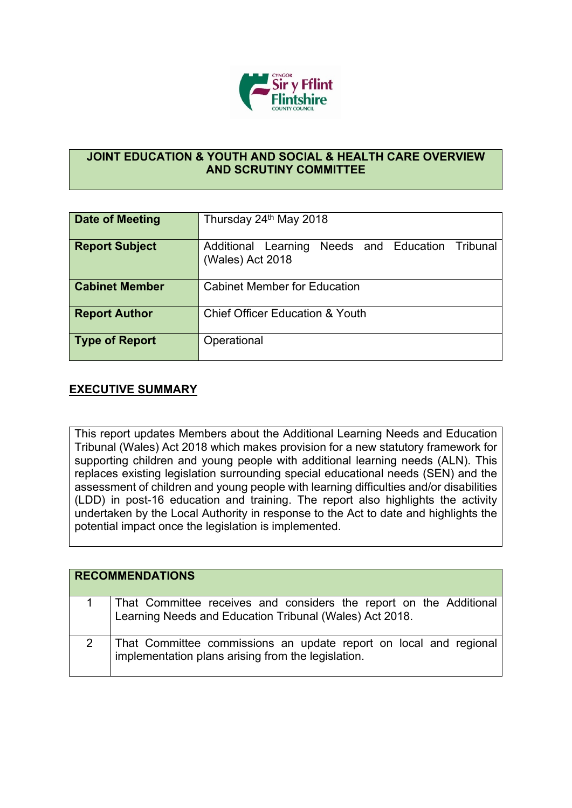

## **JOINT EDUCATION & YOUTH AND SOCIAL & HEALTH CARE OVERVIEW AND SCRUTINY COMMITTEE**

| Date of Meeting       | Thursday 24th May 2018                                                  |
|-----------------------|-------------------------------------------------------------------------|
| <b>Report Subject</b> | Needs and Education Tribunal<br>Additional Learning<br>(Wales) Act 2018 |
| <b>Cabinet Member</b> | <b>Cabinet Member for Education</b>                                     |
| <b>Report Author</b>  | <b>Chief Officer Education &amp; Youth</b>                              |
| <b>Type of Report</b> | Operational                                                             |

## **EXECUTIVE SUMMARY**

This report updates Members about the Additional Learning Needs and Education Tribunal (Wales) Act 2018 which makes provision for a new statutory framework for supporting children and young people with additional learning needs (ALN). This replaces existing legislation surrounding special educational needs (SEN) and the assessment of children and young people with learning difficulties and/or disabilities (LDD) in post-16 education and training. The report also highlights the activity undertaken by the Local Authority in response to the Act to date and highlights the potential impact once the legislation is implemented.

| <b>RECOMMENDATIONS</b>                                                                                                        |
|-------------------------------------------------------------------------------------------------------------------------------|
| That Committee receives and considers the report on the Additional<br>Learning Needs and Education Tribunal (Wales) Act 2018. |
| That Committee commissions an update report on local and regional<br>implementation plans arising from the legislation.       |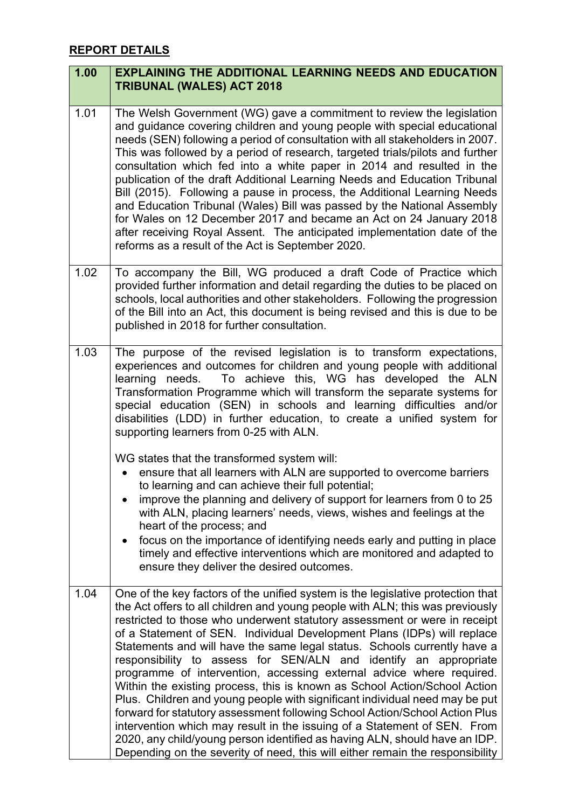## **REPORT DETAILS**

| 1.00 | <b>EXPLAINING THE ADDITIONAL LEARNING NEEDS AND EDUCATION</b><br><b>TRIBUNAL (WALES) ACT 2018</b>                                                                                                                                                                                                                                                                                                                                                                                                                                                                                                                                                                                                                                                                                                                                                                                                                                                                                                                                      |
|------|----------------------------------------------------------------------------------------------------------------------------------------------------------------------------------------------------------------------------------------------------------------------------------------------------------------------------------------------------------------------------------------------------------------------------------------------------------------------------------------------------------------------------------------------------------------------------------------------------------------------------------------------------------------------------------------------------------------------------------------------------------------------------------------------------------------------------------------------------------------------------------------------------------------------------------------------------------------------------------------------------------------------------------------|
| 1.01 | The Welsh Government (WG) gave a commitment to review the legislation<br>and guidance covering children and young people with special educational<br>needs (SEN) following a period of consultation with all stakeholders in 2007.<br>This was followed by a period of research, targeted trials/pilots and further<br>consultation which fed into a white paper in 2014 and resulted in the<br>publication of the draft Additional Learning Needs and Education Tribunal<br>Bill (2015). Following a pause in process, the Additional Learning Needs<br>and Education Tribunal (Wales) Bill was passed by the National Assembly<br>for Wales on 12 December 2017 and became an Act on 24 January 2018<br>after receiving Royal Assent. The anticipated implementation date of the<br>reforms as a result of the Act is September 2020.                                                                                                                                                                                                |
| 1.02 | To accompany the Bill, WG produced a draft Code of Practice which<br>provided further information and detail regarding the duties to be placed on<br>schools, local authorities and other stakeholders. Following the progression<br>of the Bill into an Act, this document is being revised and this is due to be<br>published in 2018 for further consultation.                                                                                                                                                                                                                                                                                                                                                                                                                                                                                                                                                                                                                                                                      |
| 1.03 | The purpose of the revised legislation is to transform expectations,<br>experiences and outcomes for children and young people with additional<br>To achieve this, WG has developed the ALN<br>needs.<br>learning<br>Transformation Programme which will transform the separate systems for<br>special education (SEN) in schools and learning difficulties and/or<br>disabilities (LDD) in further education, to create a unified system for<br>supporting learners from 0-25 with ALN.                                                                                                                                                                                                                                                                                                                                                                                                                                                                                                                                               |
|      | WG states that the transformed system will:<br>ensure that all learners with ALN are supported to overcome barriers<br>to learning and can achieve their full potential;<br>improve the planning and delivery of support for learners from 0 to 25<br>with ALN, placing learners' needs, views, wishes and feelings at the<br>heart of the process; and<br>focus on the importance of identifying needs early and putting in place<br>$\bullet$<br>timely and effective interventions which are monitored and adapted to<br>ensure they deliver the desired outcomes.                                                                                                                                                                                                                                                                                                                                                                                                                                                                  |
| 1.04 | One of the key factors of the unified system is the legislative protection that<br>the Act offers to all children and young people with ALN; this was previously<br>restricted to those who underwent statutory assessment or were in receipt<br>of a Statement of SEN. Individual Development Plans (IDPs) will replace<br>Statements and will have the same legal status. Schools currently have a<br>responsibility to assess for SEN/ALN and identify an appropriate<br>programme of intervention, accessing external advice where required.<br>Within the existing process, this is known as School Action/School Action<br>Plus. Children and young people with significant individual need may be put<br>forward for statutory assessment following School Action/School Action Plus<br>intervention which may result in the issuing of a Statement of SEN. From<br>2020, any child/young person identified as having ALN, should have an IDP.<br>Depending on the severity of need, this will either remain the responsibility |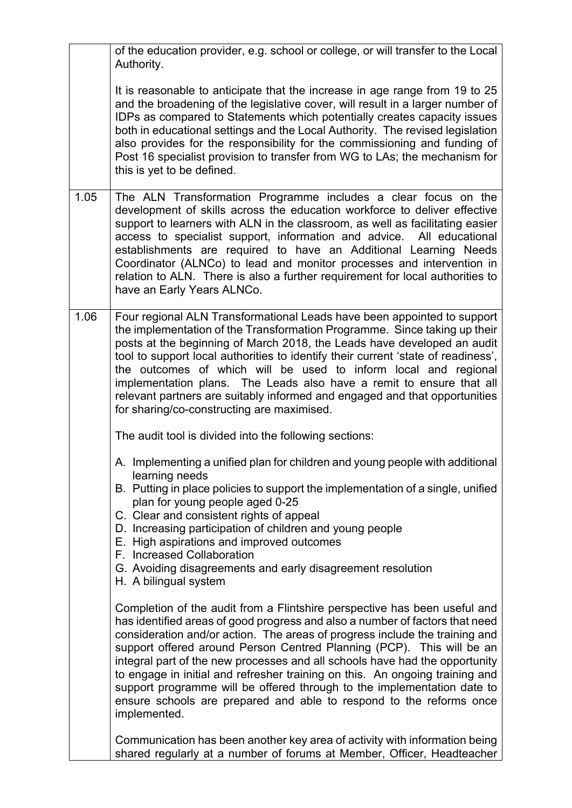|      | of the education provider, e.g. school or college, or will transfer to the Local<br>Authority.                                                                                                                                                                                                                                                                                                                                                                                                                                                                                                                                                     |
|------|----------------------------------------------------------------------------------------------------------------------------------------------------------------------------------------------------------------------------------------------------------------------------------------------------------------------------------------------------------------------------------------------------------------------------------------------------------------------------------------------------------------------------------------------------------------------------------------------------------------------------------------------------|
|      | It is reasonable to anticipate that the increase in age range from 19 to 25<br>and the broadening of the legislative cover, will result in a larger number of<br>IDPs as compared to Statements which potentially creates capacity issues<br>both in educational settings and the Local Authority. The revised legislation<br>also provides for the responsibility for the commissioning and funding of<br>Post 16 specialist provision to transfer from WG to LAs; the mechanism for<br>this is yet to be defined.                                                                                                                                |
| 1.05 | The ALN Transformation Programme includes a clear focus on the<br>development of skills across the education workforce to deliver effective<br>support to learners with ALN in the classroom, as well as facilitating easier<br>access to specialist support, information and advice. All educational<br>establishments are required to have an Additional Learning Needs<br>Coordinator (ALNCo) to lead and monitor processes and intervention in<br>relation to ALN. There is also a further requirement for local authorities to<br>have an Early Years ALNCo.                                                                                  |
| 1.06 | Four regional ALN Transformational Leads have been appointed to support<br>the implementation of the Transformation Programme. Since taking up their<br>posts at the beginning of March 2018, the Leads have developed an audit<br>tool to support local authorities to identify their current 'state of readiness',<br>the outcomes of which will be used to inform local and regional<br>implementation plans. The Leads also have a remit to ensure that all<br>relevant partners are suitably informed and engaged and that opportunities<br>for sharing/co-constructing are maximised.                                                        |
|      | The audit tool is divided into the following sections:                                                                                                                                                                                                                                                                                                                                                                                                                                                                                                                                                                                             |
|      | A. Implementing a unified plan for children and young people with additional<br>learning needs<br>B. Putting in place policies to support the implementation of a single, unified<br>plan for young people aged 0-25<br>C. Clear and consistent rights of appeal<br>D. Increasing participation of children and young people<br>E. High aspirations and improved outcomes<br>F. Increased Collaboration<br>G. Avoiding disagreements and early disagreement resolution<br>H. A bilingual system                                                                                                                                                    |
|      | Completion of the audit from a Flintshire perspective has been useful and<br>has identified areas of good progress and also a number of factors that need<br>consideration and/or action. The areas of progress include the training and<br>support offered around Person Centred Planning (PCP). This will be an<br>integral part of the new processes and all schools have had the opportunity<br>to engage in initial and refresher training on this. An ongoing training and<br>support programme will be offered through to the implementation date to<br>ensure schools are prepared and able to respond to the reforms once<br>implemented. |
|      | Communication has been another key area of activity with information being<br>shared regularly at a number of forums at Member, Officer, Headteacher                                                                                                                                                                                                                                                                                                                                                                                                                                                                                               |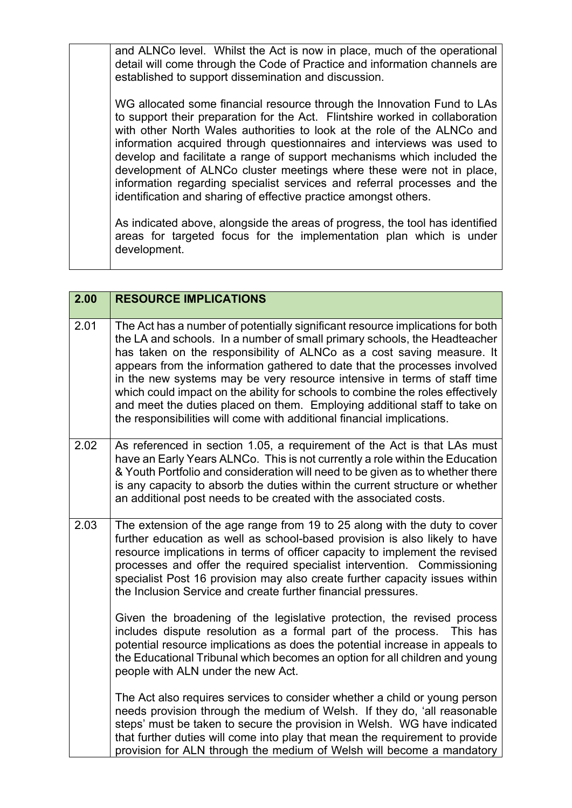and ALNCo level. Whilst the Act is now in place, much of the operational detail will come through the Code of Practice and information channels are established to support dissemination and discussion.

WG allocated some financial resource through the Innovation Fund to LAs to support their preparation for the Act. Flintshire worked in collaboration with other North Wales authorities to look at the role of the ALNCo and information acquired through questionnaires and interviews was used to develop and facilitate a range of support mechanisms which included the development of ALNCo cluster meetings where these were not in place, information regarding specialist services and referral processes and the identification and sharing of effective practice amongst others.

As indicated above, alongside the areas of progress, the tool has identified areas for targeted focus for the implementation plan which is under development.

| 2.00 | <b>RESOURCE IMPLICATIONS</b>                                                                                                                                                                                                                                                                                                                                                                                                                                                                                                                                                                                                           |
|------|----------------------------------------------------------------------------------------------------------------------------------------------------------------------------------------------------------------------------------------------------------------------------------------------------------------------------------------------------------------------------------------------------------------------------------------------------------------------------------------------------------------------------------------------------------------------------------------------------------------------------------------|
|      |                                                                                                                                                                                                                                                                                                                                                                                                                                                                                                                                                                                                                                        |
| 2.01 | The Act has a number of potentially significant resource implications for both<br>the LA and schools. In a number of small primary schools, the Headteacher<br>has taken on the responsibility of ALNCo as a cost saving measure. It<br>appears from the information gathered to date that the processes involved<br>in the new systems may be very resource intensive in terms of staff time<br>which could impact on the ability for schools to combine the roles effectively<br>and meet the duties placed on them. Employing additional staff to take on<br>the responsibilities will come with additional financial implications. |
| 2.02 | As referenced in section 1.05, a requirement of the Act is that LAs must<br>have an Early Years ALNCo. This is not currently a role within the Education<br>& Youth Portfolio and consideration will need to be given as to whether there<br>is any capacity to absorb the duties within the current structure or whether<br>an additional post needs to be created with the associated costs.                                                                                                                                                                                                                                         |
| 2.03 | The extension of the age range from 19 to 25 along with the duty to cover<br>further education as well as school-based provision is also likely to have<br>resource implications in terms of officer capacity to implement the revised<br>processes and offer the required specialist intervention. Commissioning<br>specialist Post 16 provision may also create further capacity issues within<br>the Inclusion Service and create further financial pressures.                                                                                                                                                                      |
|      | Given the broadening of the legislative protection, the revised process<br>includes dispute resolution as a formal part of the process. This has<br>potential resource implications as does the potential increase in appeals to<br>the Educational Tribunal which becomes an option for all children and young<br>people with ALN under the new Act.                                                                                                                                                                                                                                                                                  |
|      | The Act also requires services to consider whether a child or young person<br>needs provision through the medium of Welsh. If they do, 'all reasonable<br>steps' must be taken to secure the provision in Welsh. WG have indicated<br>that further duties will come into play that mean the requirement to provide<br>provision for ALN through the medium of Welsh will become a mandatory                                                                                                                                                                                                                                            |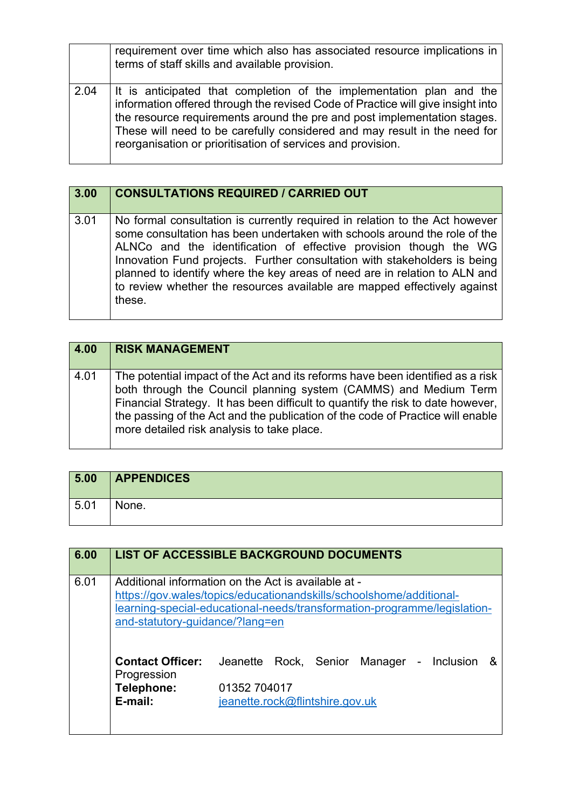|      | requirement over time which also has associated resource implications in<br>terms of staff skills and available provision.                                                                                                                                                                                                                                                      |
|------|---------------------------------------------------------------------------------------------------------------------------------------------------------------------------------------------------------------------------------------------------------------------------------------------------------------------------------------------------------------------------------|
| 2.04 | It is anticipated that completion of the implementation plan and the<br>information offered through the revised Code of Practice will give insight into<br>the resource requirements around the pre and post implementation stages.<br>These will need to be carefully considered and may result in the need for<br>reorganisation or prioritisation of services and provision. |

| 3.00 | <b>CONSULTATIONS REQUIRED / CARRIED OUT</b>                                                                                                                                                                                                                                                                                                                                                                                                                                    |
|------|--------------------------------------------------------------------------------------------------------------------------------------------------------------------------------------------------------------------------------------------------------------------------------------------------------------------------------------------------------------------------------------------------------------------------------------------------------------------------------|
| 3.01 | No formal consultation is currently required in relation to the Act however<br>some consultation has been undertaken with schools around the role of the<br>ALNCo and the identification of effective provision though the WG<br>Innovation Fund projects. Further consultation with stakeholders is being<br>planned to identify where the key areas of need are in relation to ALN and<br>to review whether the resources available are mapped effectively against<br>these. |

| 4.00 | <b>RISK MANAGEMENT</b>                                                                                                                                                                                                                                                                                                                                                |
|------|-----------------------------------------------------------------------------------------------------------------------------------------------------------------------------------------------------------------------------------------------------------------------------------------------------------------------------------------------------------------------|
| 4.01 | The potential impact of the Act and its reforms have been identified as a risk<br>both through the Council planning system (CAMMS) and Medium Term<br>Financial Strategy. It has been difficult to quantify the risk to date however,<br>the passing of the Act and the publication of the code of Practice will enable<br>more detailed risk analysis to take place. |

| 5.00 | <b>APPENDICES</b> |
|------|-------------------|
| 5.01 | None.             |

| 6.00 |                                        | <b>LIST OF ACCESSIBLE BACKGROUND DOCUMENTS</b>                                                                                                                                                         |
|------|----------------------------------------|--------------------------------------------------------------------------------------------------------------------------------------------------------------------------------------------------------|
| 6.01 | and-statutory-guidance/?lang=en        | Additional information on the Act is available at -<br>https://gov.wales/topics/educationandskills/schoolshome/additional-<br>learning-special-educational-needs/transformation-programme/legislation- |
|      | <b>Contact Officer:</b><br>Progression | Rock, Senior<br>Jeanette<br>Manager -<br>Inclusion<br>&                                                                                                                                                |
|      | Telephone:<br>E-mail:                  | 01352 704017<br>jeanette.rock@flintshire.gov.uk                                                                                                                                                        |